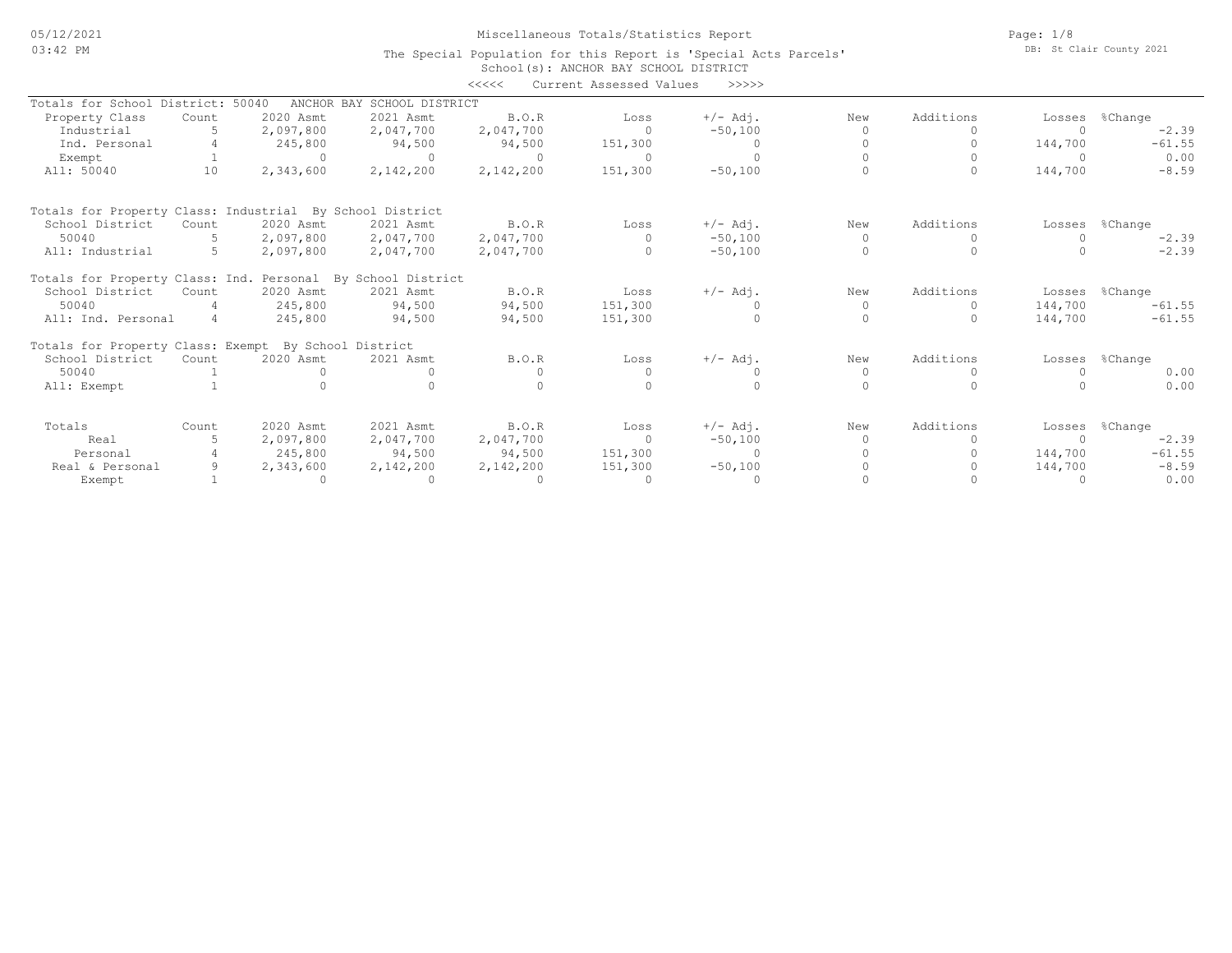05/12/2021 03:42 PM

# Miscellaneous Totals/Statistics Report

School(s): ANCHOR BAY SCHOOL DISTRICT The Special Population for this Report is 'Special Acts Parcels' Page: 1/8 DB: St Clair County 2021

| Totals for School District: 50040<br>ANCHOR BAY SCHOOL DISTRICT<br>2020 Asmt<br>B.O.R<br>Additions<br>2021 Asmt<br>$+/-$ Adj.<br>New<br>%Change<br>Property Class<br>Loss<br>Count<br>Losses<br>Industrial<br>5<br>2,097,800<br>2,047,700<br>2,047,700<br>$\cap$<br>$-50,100$<br>$-2.39$<br>$\bigcap$<br>$-61.55$<br>Ind. Personal<br>245,800<br>94,500<br>94,500<br>151,300<br>144,700<br>$\circ$<br>0.00<br>$\Omega$<br>$\Omega$<br>$\Omega$<br>$\Omega$<br>Exempt<br>$\cap$<br>2,142,200<br>2,142,200<br>151,300<br>All: 50040<br>10<br>2,343,600<br>$-50,100$<br>144,700<br>$-8.59$<br>$\Omega$<br>Totals for Property Class: Industrial By School District<br>2020 Asmt<br>2021 Asmt<br>Additions<br>%Change<br>School District<br>B.O.R<br>$+/-$ Adj.<br>Count<br>Loss<br>New<br>Losses<br>50040<br>2,097,800<br>2,047,700<br>2,047,700<br>$-50,100$<br>5.<br>$\Omega$<br>$\Omega$<br>$-2.39$<br>$\Omega$<br>$\Omega$<br>$-2.39$<br>5<br>2,097,800<br>2,047,700<br>$\Omega$<br>$-50,100$<br>All: Industrial<br>2,047,700<br>Totals for Property Class: Ind. Personal By School District<br>Additions<br>School District<br>2020 Asmt<br>2021 Asmt<br><b>B.O.R</b><br>$+/-$ Adj.<br>New<br>Losses %Change<br>Loss<br>Count<br>50040<br>245,800<br>94,500<br>94,500<br>151,300<br>144,700<br>$-61.55$<br>$\Omega$<br>$\Omega$<br>$\Omega$<br>$-61.55$<br>All: Ind. Personal<br>94,500<br>94,500<br>151,300<br>$\Omega$<br>144,700<br>4<br>245,800<br>$\Omega$<br>Totals for Property Class: Exempt By School District<br>Additions<br>School District<br>2020 Asmt<br>$+/-$ Adj.<br>2021 Asmt<br>B.O.R<br>New<br>%Change<br>Count<br>Loss<br>Losses<br>50040<br>0.00<br>$\circ$<br>0<br>$\Omega$<br>$\Omega$<br>$\Omega$<br>$\cap$<br>$\cap$<br>$\Omega$<br>0.00<br>All: Exempt<br>Additions<br>2020 Asmt<br>2021 Asmt<br>$+/-$ Adj.<br>Totals<br>B.O.R<br>%Change<br>Count<br>Loss<br>New<br>Losses<br>$-50,100$<br>$-2.39$<br>Real<br>2,097,800<br>2,047,700<br>2,047,700<br>$\Omega$<br>$\Omega$<br>$\Omega$<br>$-61.55$<br>245,800<br>94,500<br>94,500<br>151,300<br>$\circ$<br>144,700<br>Personal<br>151,300<br>$-50,100$<br>144,700<br>$-8.59$<br>9<br>2,343,600<br>2,142,200<br>2,142,200<br>Real & Personal |        |          |          | <<<< | Current Assessed Values | >>>>>   |  |      |
|--------------------------------------------------------------------------------------------------------------------------------------------------------------------------------------------------------------------------------------------------------------------------------------------------------------------------------------------------------------------------------------------------------------------------------------------------------------------------------------------------------------------------------------------------------------------------------------------------------------------------------------------------------------------------------------------------------------------------------------------------------------------------------------------------------------------------------------------------------------------------------------------------------------------------------------------------------------------------------------------------------------------------------------------------------------------------------------------------------------------------------------------------------------------------------------------------------------------------------------------------------------------------------------------------------------------------------------------------------------------------------------------------------------------------------------------------------------------------------------------------------------------------------------------------------------------------------------------------------------------------------------------------------------------------------------------------------------------------------------------------------------------------------------------------------------------------------------------------------------------------------------------------------------------------------------------------------------------------------------------------------------------------------------------------------------------------------------------------------------------------------------------------------------------------------------------------------------------------|--------|----------|----------|------|-------------------------|---------|--|------|
|                                                                                                                                                                                                                                                                                                                                                                                                                                                                                                                                                                                                                                                                                                                                                                                                                                                                                                                                                                                                                                                                                                                                                                                                                                                                                                                                                                                                                                                                                                                                                                                                                                                                                                                                                                                                                                                                                                                                                                                                                                                                                                                                                                                                                          |        |          |          |      |                         |         |  |      |
|                                                                                                                                                                                                                                                                                                                                                                                                                                                                                                                                                                                                                                                                                                                                                                                                                                                                                                                                                                                                                                                                                                                                                                                                                                                                                                                                                                                                                                                                                                                                                                                                                                                                                                                                                                                                                                                                                                                                                                                                                                                                                                                                                                                                                          |        |          |          |      |                         |         |  |      |
|                                                                                                                                                                                                                                                                                                                                                                                                                                                                                                                                                                                                                                                                                                                                                                                                                                                                                                                                                                                                                                                                                                                                                                                                                                                                                                                                                                                                                                                                                                                                                                                                                                                                                                                                                                                                                                                                                                                                                                                                                                                                                                                                                                                                                          |        |          |          |      |                         |         |  |      |
|                                                                                                                                                                                                                                                                                                                                                                                                                                                                                                                                                                                                                                                                                                                                                                                                                                                                                                                                                                                                                                                                                                                                                                                                                                                                                                                                                                                                                                                                                                                                                                                                                                                                                                                                                                                                                                                                                                                                                                                                                                                                                                                                                                                                                          |        |          |          |      |                         |         |  |      |
|                                                                                                                                                                                                                                                                                                                                                                                                                                                                                                                                                                                                                                                                                                                                                                                                                                                                                                                                                                                                                                                                                                                                                                                                                                                                                                                                                                                                                                                                                                                                                                                                                                                                                                                                                                                                                                                                                                                                                                                                                                                                                                                                                                                                                          |        |          |          |      |                         |         |  |      |
|                                                                                                                                                                                                                                                                                                                                                                                                                                                                                                                                                                                                                                                                                                                                                                                                                                                                                                                                                                                                                                                                                                                                                                                                                                                                                                                                                                                                                                                                                                                                                                                                                                                                                                                                                                                                                                                                                                                                                                                                                                                                                                                                                                                                                          |        |          |          |      |                         |         |  |      |
|                                                                                                                                                                                                                                                                                                                                                                                                                                                                                                                                                                                                                                                                                                                                                                                                                                                                                                                                                                                                                                                                                                                                                                                                                                                                                                                                                                                                                                                                                                                                                                                                                                                                                                                                                                                                                                                                                                                                                                                                                                                                                                                                                                                                                          |        |          |          |      |                         |         |  |      |
|                                                                                                                                                                                                                                                                                                                                                                                                                                                                                                                                                                                                                                                                                                                                                                                                                                                                                                                                                                                                                                                                                                                                                                                                                                                                                                                                                                                                                                                                                                                                                                                                                                                                                                                                                                                                                                                                                                                                                                                                                                                                                                                                                                                                                          |        |          |          |      |                         |         |  |      |
|                                                                                                                                                                                                                                                                                                                                                                                                                                                                                                                                                                                                                                                                                                                                                                                                                                                                                                                                                                                                                                                                                                                                                                                                                                                                                                                                                                                                                                                                                                                                                                                                                                                                                                                                                                                                                                                                                                                                                                                                                                                                                                                                                                                                                          |        |          |          |      |                         |         |  |      |
|                                                                                                                                                                                                                                                                                                                                                                                                                                                                                                                                                                                                                                                                                                                                                                                                                                                                                                                                                                                                                                                                                                                                                                                                                                                                                                                                                                                                                                                                                                                                                                                                                                                                                                                                                                                                                                                                                                                                                                                                                                                                                                                                                                                                                          |        |          |          |      |                         |         |  |      |
|                                                                                                                                                                                                                                                                                                                                                                                                                                                                                                                                                                                                                                                                                                                                                                                                                                                                                                                                                                                                                                                                                                                                                                                                                                                                                                                                                                                                                                                                                                                                                                                                                                                                                                                                                                                                                                                                                                                                                                                                                                                                                                                                                                                                                          |        |          |          |      |                         |         |  |      |
|                                                                                                                                                                                                                                                                                                                                                                                                                                                                                                                                                                                                                                                                                                                                                                                                                                                                                                                                                                                                                                                                                                                                                                                                                                                                                                                                                                                                                                                                                                                                                                                                                                                                                                                                                                                                                                                                                                                                                                                                                                                                                                                                                                                                                          |        |          |          |      |                         |         |  |      |
|                                                                                                                                                                                                                                                                                                                                                                                                                                                                                                                                                                                                                                                                                                                                                                                                                                                                                                                                                                                                                                                                                                                                                                                                                                                                                                                                                                                                                                                                                                                                                                                                                                                                                                                                                                                                                                                                                                                                                                                                                                                                                                                                                                                                                          |        |          |          |      |                         |         |  |      |
|                                                                                                                                                                                                                                                                                                                                                                                                                                                                                                                                                                                                                                                                                                                                                                                                                                                                                                                                                                                                                                                                                                                                                                                                                                                                                                                                                                                                                                                                                                                                                                                                                                                                                                                                                                                                                                                                                                                                                                                                                                                                                                                                                                                                                          |        |          |          |      |                         |         |  |      |
|                                                                                                                                                                                                                                                                                                                                                                                                                                                                                                                                                                                                                                                                                                                                                                                                                                                                                                                                                                                                                                                                                                                                                                                                                                                                                                                                                                                                                                                                                                                                                                                                                                                                                                                                                                                                                                                                                                                                                                                                                                                                                                                                                                                                                          |        |          |          |      |                         |         |  |      |
|                                                                                                                                                                                                                                                                                                                                                                                                                                                                                                                                                                                                                                                                                                                                                                                                                                                                                                                                                                                                                                                                                                                                                                                                                                                                                                                                                                                                                                                                                                                                                                                                                                                                                                                                                                                                                                                                                                                                                                                                                                                                                                                                                                                                                          |        |          |          |      |                         |         |  |      |
|                                                                                                                                                                                                                                                                                                                                                                                                                                                                                                                                                                                                                                                                                                                                                                                                                                                                                                                                                                                                                                                                                                                                                                                                                                                                                                                                                                                                                                                                                                                                                                                                                                                                                                                                                                                                                                                                                                                                                                                                                                                                                                                                                                                                                          |        |          |          |      |                         |         |  |      |
|                                                                                                                                                                                                                                                                                                                                                                                                                                                                                                                                                                                                                                                                                                                                                                                                                                                                                                                                                                                                                                                                                                                                                                                                                                                                                                                                                                                                                                                                                                                                                                                                                                                                                                                                                                                                                                                                                                                                                                                                                                                                                                                                                                                                                          |        |          |          |      |                         |         |  |      |
|                                                                                                                                                                                                                                                                                                                                                                                                                                                                                                                                                                                                                                                                                                                                                                                                                                                                                                                                                                                                                                                                                                                                                                                                                                                                                                                                                                                                                                                                                                                                                                                                                                                                                                                                                                                                                                                                                                                                                                                                                                                                                                                                                                                                                          |        |          |          |      |                         |         |  |      |
|                                                                                                                                                                                                                                                                                                                                                                                                                                                                                                                                                                                                                                                                                                                                                                                                                                                                                                                                                                                                                                                                                                                                                                                                                                                                                                                                                                                                                                                                                                                                                                                                                                                                                                                                                                                                                                                                                                                                                                                                                                                                                                                                                                                                                          |        |          |          |      |                         |         |  |      |
|                                                                                                                                                                                                                                                                                                                                                                                                                                                                                                                                                                                                                                                                                                                                                                                                                                                                                                                                                                                                                                                                                                                                                                                                                                                                                                                                                                                                                                                                                                                                                                                                                                                                                                                                                                                                                                                                                                                                                                                                                                                                                                                                                                                                                          |        |          |          |      |                         |         |  |      |
|                                                                                                                                                                                                                                                                                                                                                                                                                                                                                                                                                                                                                                                                                                                                                                                                                                                                                                                                                                                                                                                                                                                                                                                                                                                                                                                                                                                                                                                                                                                                                                                                                                                                                                                                                                                                                                                                                                                                                                                                                                                                                                                                                                                                                          |        |          |          |      |                         |         |  |      |
|                                                                                                                                                                                                                                                                                                                                                                                                                                                                                                                                                                                                                                                                                                                                                                                                                                                                                                                                                                                                                                                                                                                                                                                                                                                                                                                                                                                                                                                                                                                                                                                                                                                                                                                                                                                                                                                                                                                                                                                                                                                                                                                                                                                                                          | Exempt | $\Omega$ | $\Omega$ |      | $\Omega$                | $\circ$ |  | 0.00 |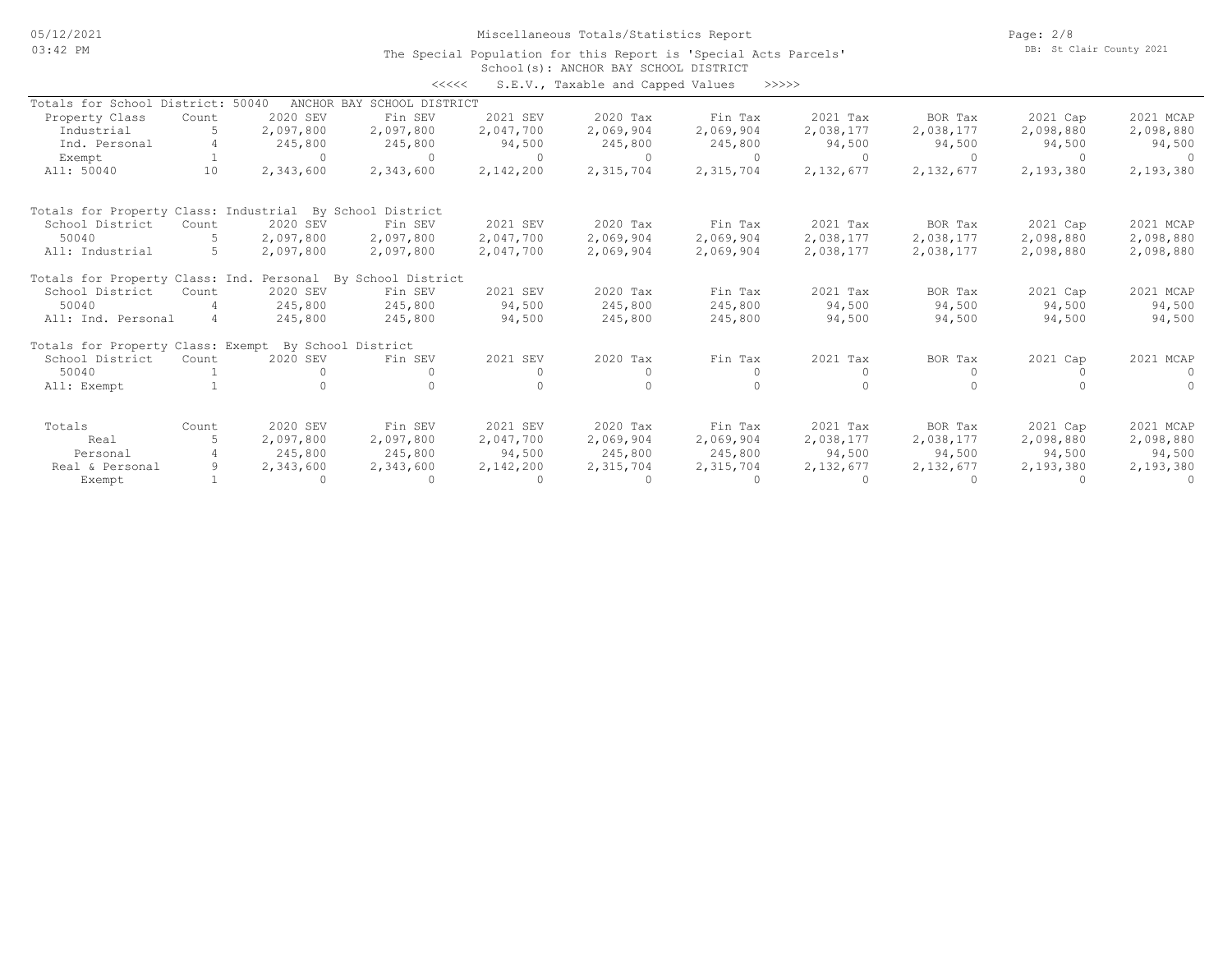05/12/2021 03:42 PM

Miscellaneous Totals/Statistics Report

Page: 2/8 DB: St Clair County 2021

#### School(s): ANCHOR BAY SCHOOL DISTRICT The Special Population for this Report is 'Special Acts Parcels'

|                                                          |       |                    | <<<<                        |           | S.E.V., Taxable and Capped Values |           | >>>>>     |           |           |           |
|----------------------------------------------------------|-------|--------------------|-----------------------------|-----------|-----------------------------------|-----------|-----------|-----------|-----------|-----------|
| Totals for School District:                              |       | 50040              | ANCHOR BAY SCHOOL DISTRICT  |           |                                   |           |           |           |           |           |
| Property Class                                           | Count | 2020 SEV           | Fin SEV                     | 2021 SEV  | 2020 Tax                          | Fin Tax   | 2021 Tax  | BOR Tax   | 2021 Cap  | 2021 MCAP |
| Industrial                                               |       | 2,097,800          | 2,097,800                   | 2,047,700 | 2,069,904                         | 2,069,904 | 2,038,177 | 2,038,177 | 2,098,880 | 2,098,880 |
| Ind. Personal                                            |       | 245,800            | 245,800                     | 94,500    | 245,800                           | 245,800   | 94,500    | 94,500    | 94,500    | 94,500    |
| Exempt                                                   |       | $\Omega$           | $\cap$                      | $\Omega$  | $\Omega$                          | $\Omega$  | $\Omega$  | $\cap$    | $\Omega$  |           |
| All: 50040                                               | 10    | 2,343,600          | 2,343,600                   | 2,142,200 | 2,315,704                         | 2,315,704 | 2,132,677 | 2,132,677 | 2,193,380 | 2,193,380 |
| Totals for Property Class: Industrial By School District |       |                    |                             |           |                                   |           |           |           |           |           |
| School District                                          | Count | 2020 SEV           | Fin SEV                     | 2021 SEV  | 2020 Tax                          | Fin Tax   | 2021 Tax  | BOR Tax   | 2021 Cap  | 2021 MCAP |
| 50040                                                    |       | 2,097,800          | 2,097,800                   | 2,047,700 | 2,069,904                         | 2,069,904 | 2,038,177 | 2,038,177 | 2,098,880 | 2,098,880 |
| All: Industrial                                          | 5     | 2,097,800          | 2,097,800                   | 2,047,700 | 2,069,904                         | 2,069,904 | 2,038,177 | 2,038,177 | 2,098,880 | 2,098,880 |
| Totals for Property Class: Ind.                          |       |                    | Personal By School District |           |                                   |           |           |           |           |           |
| School District                                          | Count | 2020 SEV           | Fin SEV                     | 2021 SEV  | 2020 Tax                          | Fin Tax   | 2021 Tax  | BOR Tax   | 2021 Cap  | 2021 MCAP |
| 50040                                                    |       | 245,800            | 245,800                     | 94,500    | 245,800                           | 245,800   | 94,500    | 94,500    | 94,500    | 94,500    |
| All: Ind. Personal                                       | 4     | 245,800            | 245,800                     | 94,500    | 245,800                           | 245,800   | 94,500    | 94,500    | 94,500    | 94,500    |
| Totals for Property Class: Exempt                        |       | By School District |                             |           |                                   |           |           |           |           |           |
| School District                                          | Count | 2020 SEV           | Fin SEV                     | 2021 SEV  | 2020 Tax                          | Fin Tax   | 2021 Tax  | BOR Tax   | 2021 Cap  | 2021 MCAP |
| 50040                                                    |       |                    |                             | $\Omega$  | $\Omega$                          | $\Omega$  | $\Omega$  | $\bigcap$ | $\bigcap$ | $\Omega$  |
| All: Exempt                                              |       |                    |                             |           |                                   |           |           |           |           | $\cap$    |
| Totals                                                   | Count | 2020 SEV           | Fin SEV                     | 2021 SEV  | 2020 Tax                          | Fin Tax   | 2021 Tax  | BOR Tax   | 2021 Cap  | 2021 MCAP |
| Real                                                     |       | 2,097,800          | 2,097,800                   | 2,047,700 | 2,069,904                         | 2,069,904 | 2,038,177 | 2,038,177 | 2,098,880 | 2,098,880 |
| Personal                                                 |       | 245,800            | 245,800                     | 94,500    | 245,800                           | 245,800   | 94,500    | 94,500    | 94,500    | 94,500    |
| Real & Personal                                          |       | 2,343,600          | 2,343,600                   | 2,142,200 | 2,315,704                         | 2,315,704 | 2,132,677 | 2,132,677 | 2,193,380 | 2,193,380 |
| Exempt                                                   |       | $\bigcap$          | $\Omega$                    | $\Omega$  | $\Omega$                          | $\Omega$  | $\Omega$  | $\cap$    |           | $\cap$    |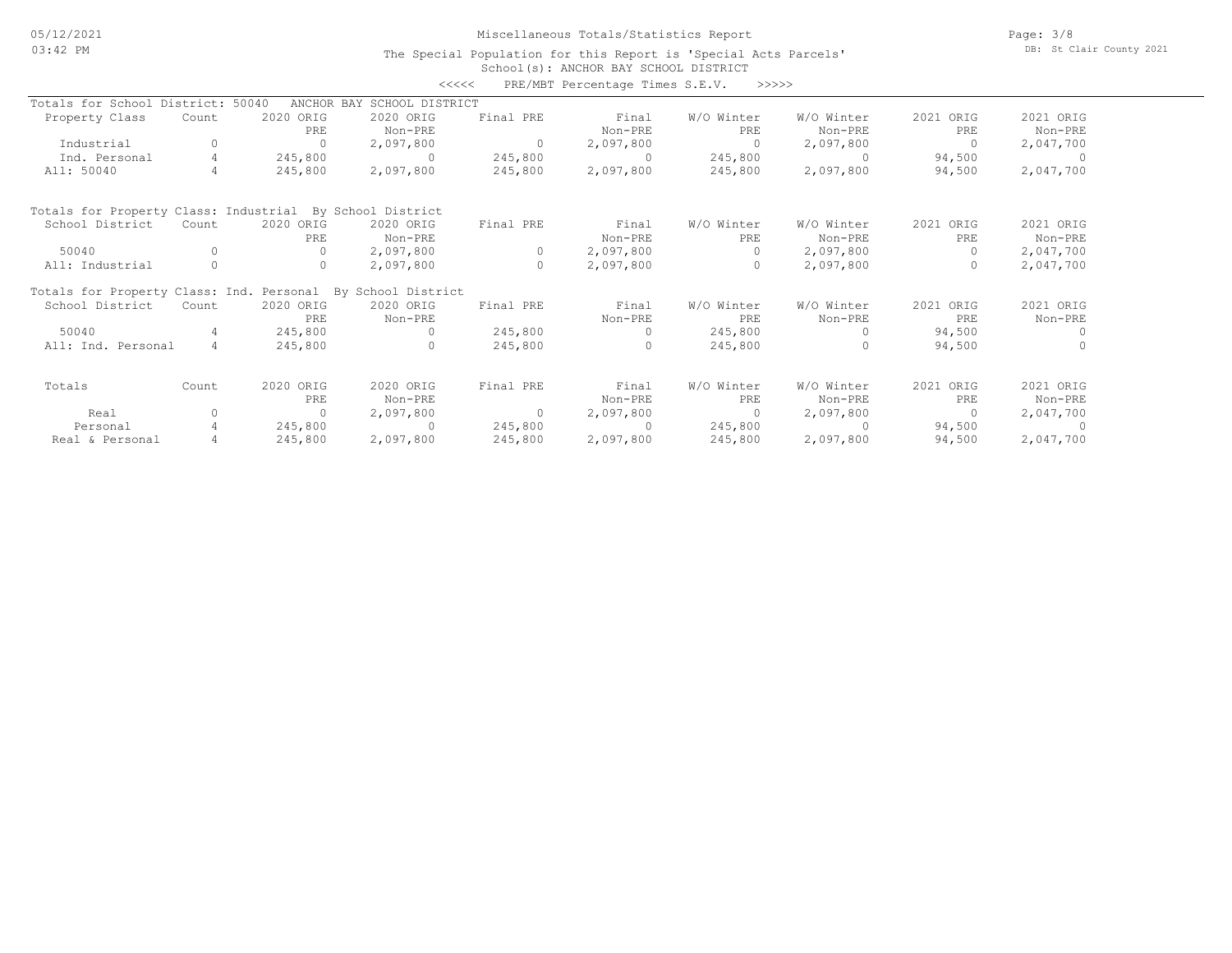### Miscellaneous Totals/Statistics Report

Page: 3/8 DB: St Clair County 2021

### School(s): ANCHOR BAY SCHOOL DISTRICT The Special Population for this Report is 'Special Acts Parcels'

|                                                             |                |           |                            | <<<<           | PRE/MBT Percentage Times S.E.V. | >>>>>      |            |                |           |
|-------------------------------------------------------------|----------------|-----------|----------------------------|----------------|---------------------------------|------------|------------|----------------|-----------|
| Totals for School District: 50040                           |                |           | ANCHOR BAY SCHOOL DISTRICT |                |                                 |            |            |                |           |
| Property Class                                              | Count          | 2020 ORIG | 2020 ORIG                  | Final PRE      | Final                           | W/O Winter | W/O Winter | 2021 ORIG      | 2021 ORIG |
|                                                             |                | PRE       | Non-PRE                    |                | Non-PRE                         | PRE        | Non-PRE    | PRE            | Non-PRE   |
| Industrial                                                  | 0              | $\Omega$  | 2,097,800                  | $\circ$        | 2,097,800                       | $\Omega$   | 2,097,800  | $\Omega$       | 2,047,700 |
| Ind. Personal                                               | $\overline{4}$ | 245,800   | $\Omega$                   | 245,800        | $\Omega$                        | 245,800    | $\Omega$   | 94,500         | - 0       |
| All: 50040                                                  | 4              | 245,800   | 2,097,800                  | 245,800        | 2,097,800                       | 245,800    | 2,097,800  | 94,500         | 2,047,700 |
| Totals for Property Class: Industrial By School District    |                |           |                            |                |                                 |            |            |                |           |
| School District                                             | Count          | 2020 ORIG | 2020 ORIG                  | Final PRE      | Final                           | W/O Winter | W/O Winter | 2021 ORIG      | 2021 ORIG |
|                                                             |                | PRE       | Non-PRE                    |                | Non-PRE                         | PRE        | Non-PRE    | PRE            | Non-PRE   |
| 50040                                                       | $\Omega$       | $\Omega$  | 2,097,800                  | $\circ$        | 2,097,800                       | $\Omega$   | 2,097,800  | $\Omega$       | 2,047,700 |
| All: Industrial                                             | 0              | $\circ$   | 2,097,800                  | $\circ$        | 2,097,800                       | $\circ$    | 2,097,800  |                | 2,047,700 |
| Totals for Property Class: Ind. Personal By School District |                |           |                            |                |                                 |            |            |                |           |
| School District                                             | Count          | 2020 ORIG | 2020 ORIG                  | Final PRE      | Final                           | W/O Winter | W/O Winter | 2021 ORIG      | 2021 ORIG |
|                                                             |                | PRE.      | Non-PRE                    |                | Non-PRE                         | PRE.       | Non-PRE    | PRE            | Non-PRE   |
| 50040                                                       | 4              | 245,800   | $\cap$                     | 245,800        | $\Omega$                        | 245,800    | $\Omega$   | 94,500         |           |
| All: Ind. Personal                                          | $\overline{4}$ | 245,800   | $\cap$                     | 245,800        | $\Omega$                        | 245,800    | $\Omega$   | 94,500         |           |
| Totals                                                      | Count          | 2020 ORIG | 2020 ORIG                  | Final PRE      | Final                           | W/O Winter | W/O Winter | 2021 ORIG      | 2021 ORIG |
|                                                             |                | PRE       | Non-PRE                    |                | Non-PRE                         | PRE        | Non-PRE    | PRE            | Non-PRE   |
| Real                                                        | $\Omega$       | $\Omega$  | 2,097,800                  | $\overline{0}$ | 2,097,800                       | $\circ$    | 2,097,800  | $\overline{0}$ | 2,047,700 |
| Personal                                                    | 4              | 245,800   | $\cap$                     | 245,800        | $\cap$                          | 245,800    | $\cap$     | 94,500         |           |
| Real & Personal                                             |                | 245,800   | 2,097,800                  | 245,800        | 2,097,800                       | 245,800    | 2,097,800  | 94,500         | 2,047,700 |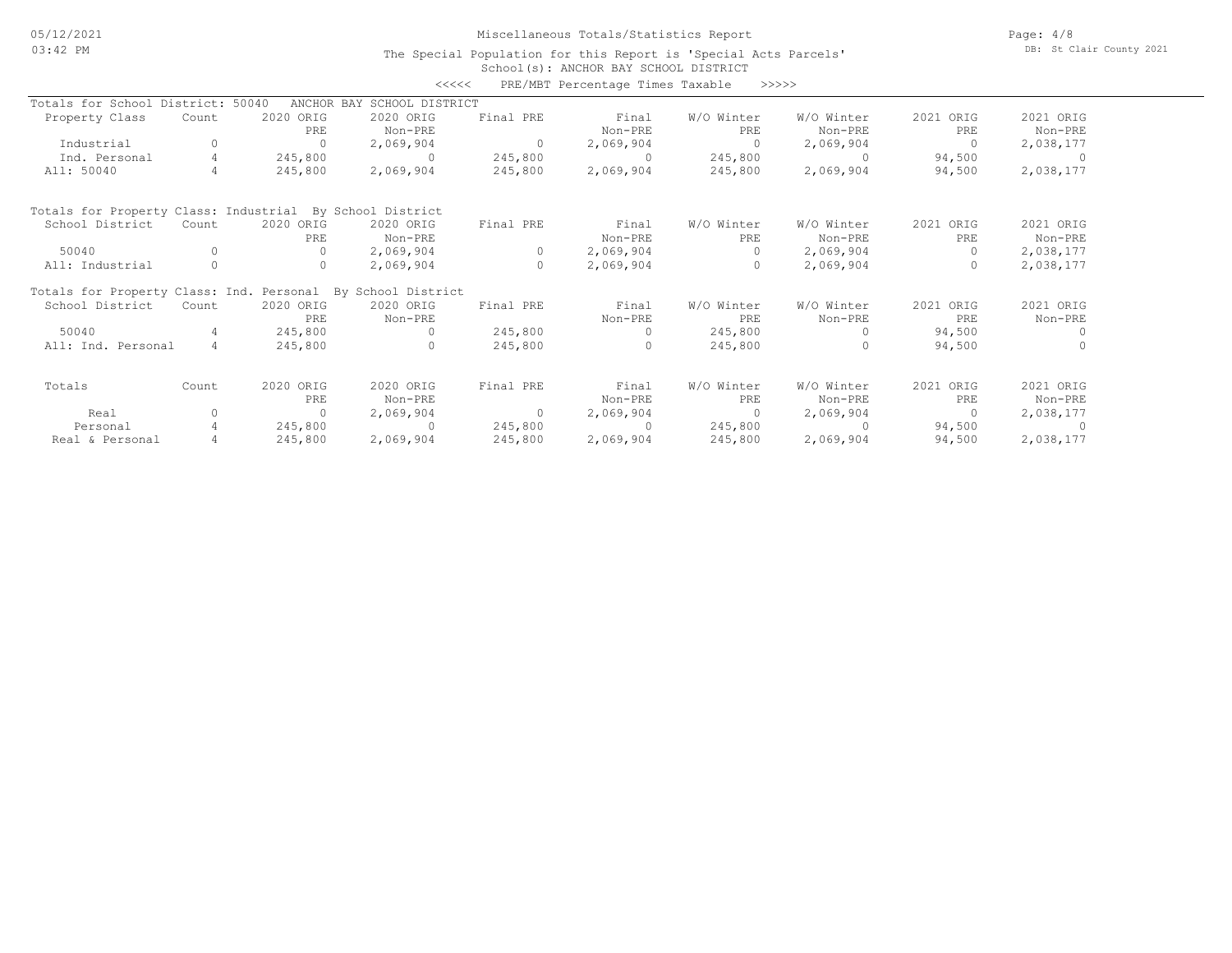# Miscellaneous Totals/Statistics Report

Page: 4/8 DB: St Clair County 2021

### School(s): ANCHOR BAY SCHOOL DISTRICT The Special Population for this Report is 'Special Acts Parcels'

| PRE/MBT Percentage Times Taxable<br><<<<<br>>>>>>           |                |           |                            |                |           |            |            |           |           |  |  |
|-------------------------------------------------------------|----------------|-----------|----------------------------|----------------|-----------|------------|------------|-----------|-----------|--|--|
| Totals for School District: 50040                           |                |           | ANCHOR BAY SCHOOL DISTRICT |                |           |            |            |           |           |  |  |
| Property Class                                              | Count          | 2020 ORIG | 2020 ORIG                  | Final PRE      | Final     | W/O Winter | W/O Winter | 2021 ORIG | 2021 ORIG |  |  |
|                                                             |                | PRE       | Non-PRE                    |                | Non-PRE   | PRE        | Non-PRE    | PRE       | Non-PRE   |  |  |
| Industrial                                                  |                | $\Omega$  | 2,069,904                  | $\Omega$       | 2,069,904 | $\Omega$   | 2,069,904  | $\Omega$  | 2,038,177 |  |  |
| Ind. Personal                                               | $\overline{4}$ | 245,800   | $\Omega$                   | 245,800        | $\Omega$  | 245,800    | $\Omega$   | 94,500    | - 0       |  |  |
| All: 50040                                                  | 4              | 245,800   | 2,069,904                  | 245,800        | 2,069,904 | 245,800    | 2,069,904  | 94,500    | 2,038,177 |  |  |
| Totals for Property Class: Industrial By School District    |                |           |                            |                |           |            |            |           |           |  |  |
| School District                                             | Count          | 2020 ORIG | 2020 ORIG                  | Final PRE      | Final     | W/O Winter | W/O Winter | 2021 ORIG | 2021 ORIG |  |  |
|                                                             |                | PRE       | Non-PRE                    |                | Non-PRE   | PRE        | Non-PRE    | PRE       | Non-PRE   |  |  |
| 50040                                                       | O              | $\Omega$  | 2,069,904                  | $\circ$        | 2,069,904 | $\Omega$   | 2,069,904  | $\Omega$  | 2,038,177 |  |  |
| All: Industrial                                             | $\circ$        | 0         | 2,069,904                  | $\circ$        | 2,069,904 | $\circ$    | 2,069,904  | $\circ$   | 2,038,177 |  |  |
| Totals for Property Class: Ind. Personal By School District |                |           |                            |                |           |            |            |           |           |  |  |
| School District                                             | Count          | 2020 ORIG | 2020 ORIG                  | Final PRE      | Final     | W/O Winter | W/O Winter | 2021 ORIG | 2021 ORIG |  |  |
|                                                             |                | PRE       | Non-PRE                    |                | Non-PRE   | PRE        | Non-PRE    | PRE       | Non-PRE   |  |  |
| 50040                                                       | 4              | 245,800   | $\Omega$                   | 245,800        |           | 245,800    | $\Omega$   | 94,500    |           |  |  |
| All: Ind. Personal                                          | $\overline{4}$ | 245,800   | $\Omega$                   | 245,800        |           | 245,800    | $\Omega$   | 94,500    |           |  |  |
| Totals                                                      | Count          | 2020 ORIG | 2020 ORIG                  | Final PRE      | Final     | W/O Winter | W/O Winter | 2021 ORIG | 2021 ORIG |  |  |
|                                                             |                | PRE       | Non-PRE                    |                | Non-PRE   | PRE        | Non-PRE    | PRE       | Non-PRE   |  |  |
| Real                                                        | 0              | $\Omega$  | 2,069,904                  | $\overline{0}$ | 2,069,904 | $\Omega$   | 2,069,904  | $\Omega$  | 2,038,177 |  |  |
| Personal                                                    |                | 245,800   | $\cap$                     | 245,800        | $\Omega$  | 245,800    | $\cap$     | 94,500    |           |  |  |
| Real & Personal                                             |                | 245,800   | 2,069,904                  | 245,800        | 2,069,904 | 245,800    | 2,069,904  | 94,500    | 2,038,177 |  |  |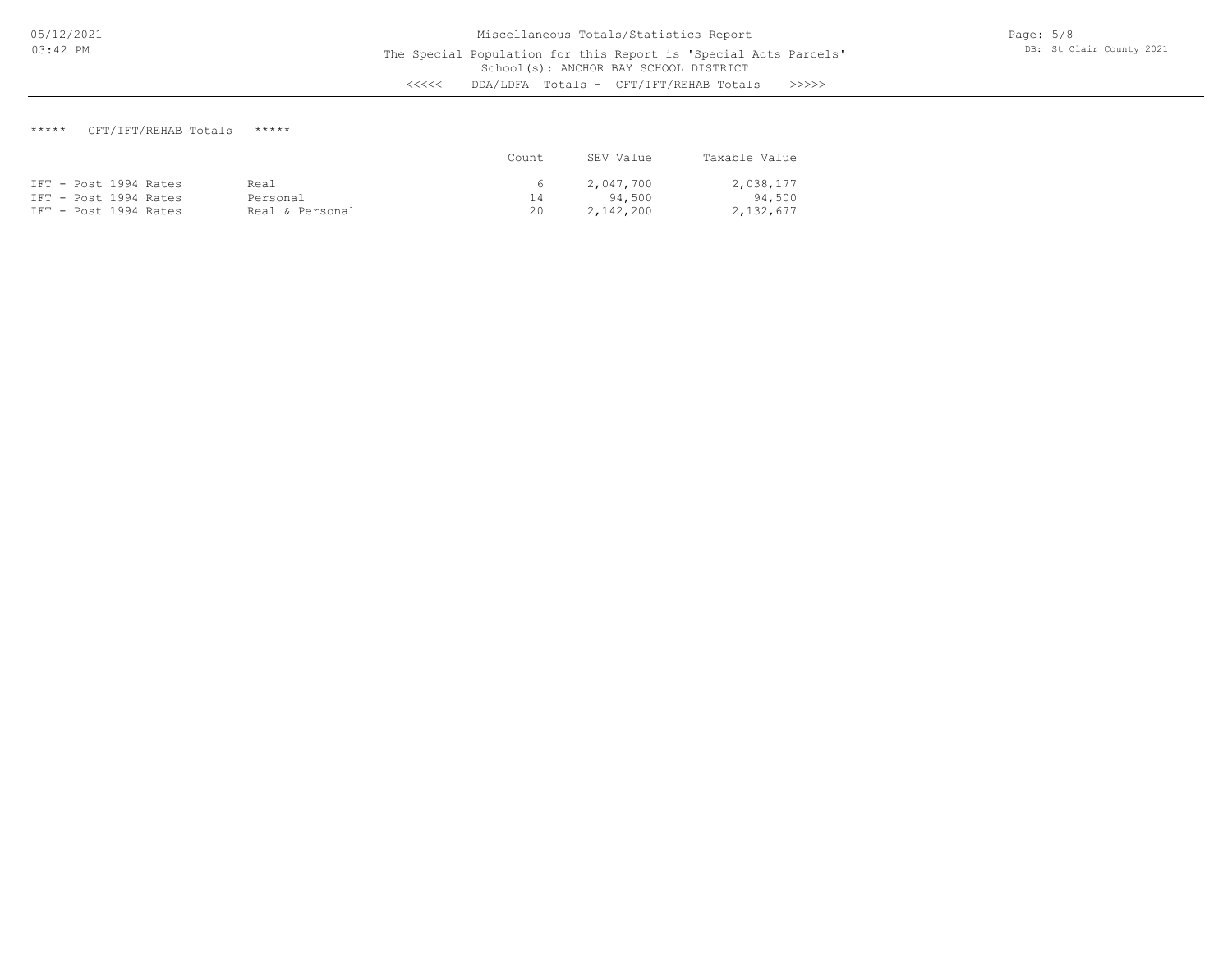# \*\*\*\*\* CFT/IFT/REHAB Totals \*\*\*\*\*

|                       |                 | Count. | SEV Value | Taxable Value |
|-----------------------|-----------------|--------|-----------|---------------|
| IFT - Post 1994 Rates | Real            | $6 -$  | 2,047,700 | 2,038,177     |
| IFT - Post 1994 Rates | Personal        | 14     | 94.500    | 94,500        |
| IFT - Post 1994 Rates | Real & Personal | 20     | 2,142,200 | 2,132,677     |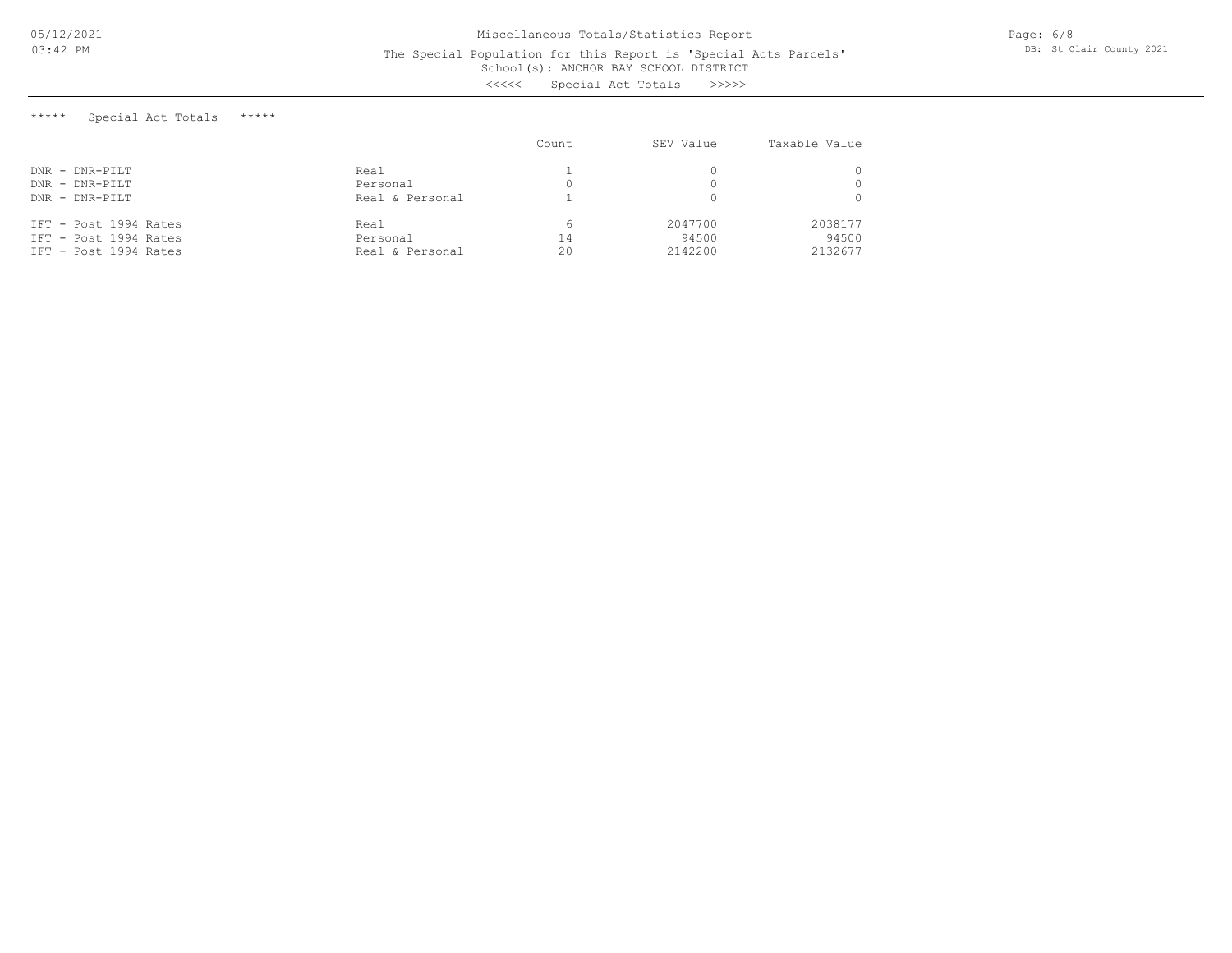#### School(s): ANCHOR BAY SCHOOL DISTRICT The Special Population for this Report is 'Special Acts Parcels'

<<<<< Special Act Totals >>>>>

\*\*\*\*\* Special Act Totals \*\*\*\*\*

|                       |                 | Count | SEV Value | Taxable Value |
|-----------------------|-----------------|-------|-----------|---------------|
| $DNR$ - $DNR-PILT$    | Real            |       |           |               |
| $DNR - DNR-PILT$      | Personal        | 0.    |           |               |
| $DNR - DNR-PILT$      | Real & Personal |       |           |               |
| IFT - Post 1994 Rates | Real            |       | 2047700   | 2038177       |
| IFT - Post 1994 Rates | Personal        | 14    | 94500     | 94500         |
| IFT - Post 1994 Rates | Real & Personal | 20    | 2142200   | 2132677       |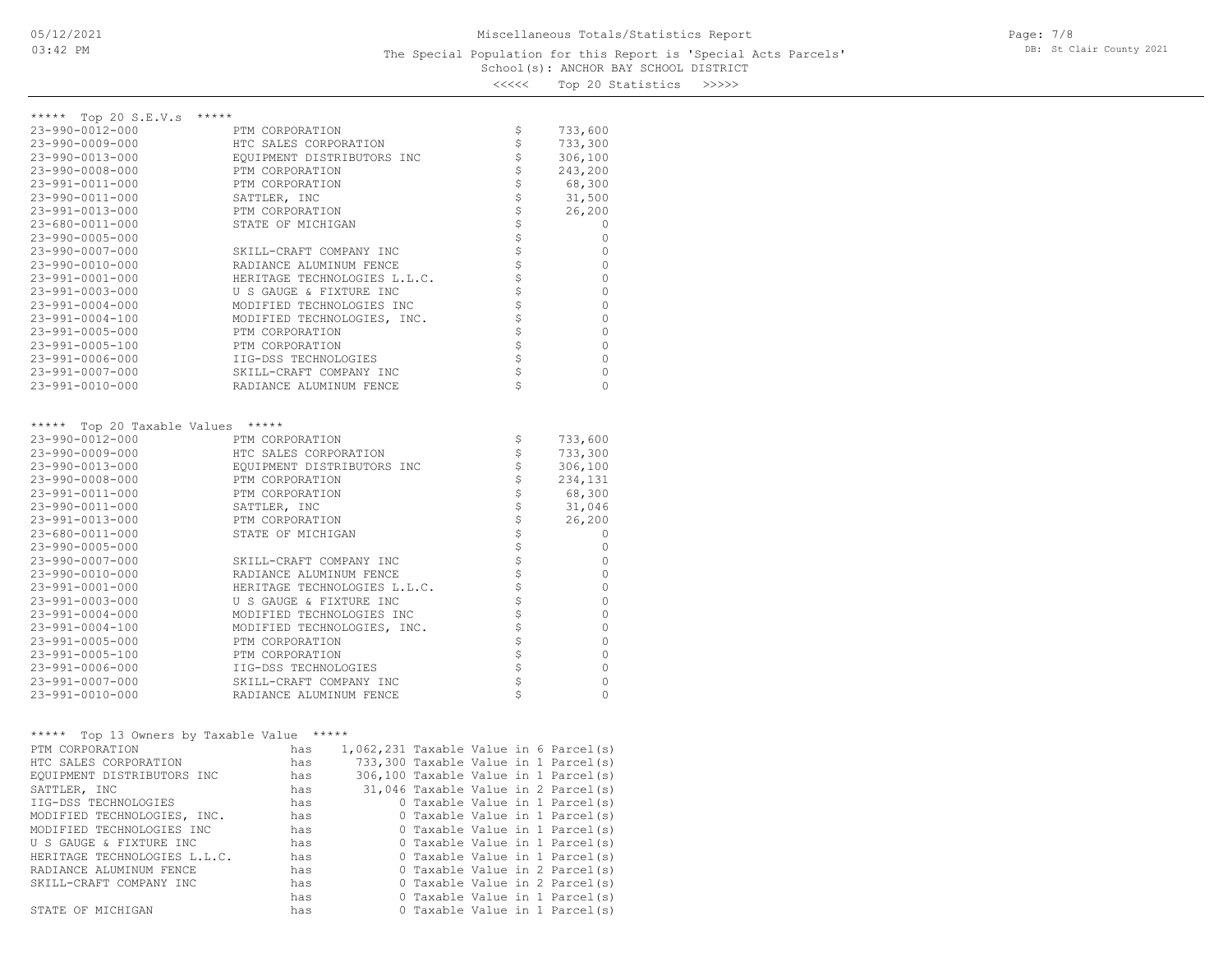| くくくくく |  | Top 20 Statistics | >>>>> |
|-------|--|-------------------|-------|
|-------|--|-------------------|-------|

| ***** Top 20 S.E.V.s *****                 |                                            |                                      |  |  |                |                                          |
|--------------------------------------------|--------------------------------------------|--------------------------------------|--|--|----------------|------------------------------------------|
| 23-990-0012-000<br>$23 - 990 - 0009 - 000$ | PTM CORPORATION<br>HTC SALES CORPORATION   |                                      |  |  | \$<br>\$       | 733,600<br>733,300                       |
| 23-990-0013-000                            | EQUIPMENT DISTRIBUTORS INC                 |                                      |  |  | \$             | 306,100                                  |
| $23 - 990 - 0008 - 000$                    | PTM CORPORATION                            |                                      |  |  | \$             | 243,200                                  |
| 23-991-0011-000                            | PTM CORPORATION                            |                                      |  |  | \$             | 68,300                                   |
| 23-990-0011-000                            | SATTLER, INC                               |                                      |  |  | \$             | 31,500                                   |
| 23-991-0013-000                            | PTM CORPORATION                            |                                      |  |  | \$             | 26,200                                   |
| 23-680-0011-000                            | STATE OF MICHIGAN                          |                                      |  |  |                | 0                                        |
| 23-990-0005-000                            |                                            |                                      |  |  |                | 0                                        |
| 23-990-0007-000                            | SKILL-CRAFT COMPANY INC                    |                                      |  |  | さささ            | 0                                        |
| 23-990-0010-000                            | RADIANCE ALUMINUM FENCE                    |                                      |  |  |                | 0                                        |
| 23-991-0001-000                            | HERITAGE TECHNOLOGIES L.L.C.               |                                      |  |  |                | 0                                        |
| 23-991-0003-000                            | U S GAUGE & FIXTURE INC                    |                                      |  |  | ちょうさ           | 0                                        |
| 23-991-0004-000                            | MODIFIED TECHNOLOGIES INC                  |                                      |  |  |                | 0                                        |
| 23-991-0004-100                            | MODIFIED TECHNOLOGIES, INC.                |                                      |  |  |                | 0                                        |
| 23-991-0005-000                            | PTM CORPORATION                            |                                      |  |  | \$             | 0                                        |
| 23-991-0005-100                            | PTM CORPORATION                            |                                      |  |  |                | 0                                        |
| 23-991-0006-000                            | IIG-DSS TECHNOLOGIES                       |                                      |  |  | なさな            | 0                                        |
| 23-991-0007-000                            | SKILL-CRAFT COMPANY INC                    |                                      |  |  |                | 0                                        |
| 23-991-0010-000                            | RADIANCE ALUMINUM FENCE                    |                                      |  |  |                | $\mathbf{0}$                             |
|                                            |                                            |                                      |  |  |                |                                          |
|                                            |                                            |                                      |  |  |                |                                          |
| ***** Top 20 Taxable Values *****          |                                            |                                      |  |  |                |                                          |
| 23-990-0012-000                            | PTM CORPORATION                            |                                      |  |  | \$             | 733,600                                  |
| 23-990-0009-000                            | HTC SALES CORPORATION                      |                                      |  |  | \$             | 733,300                                  |
| 23-990-0013-000                            | EQUIPMENT DISTRIBUTORS INC                 |                                      |  |  | \$             | 306,100                                  |
| $23 - 990 - 0008 - 000$                    | PTM CORPORATION                            |                                      |  |  | \$             | 234,131                                  |
| 23-991-0011-000                            | PTM CORPORATION                            |                                      |  |  |                | 68,300                                   |
| 23-990-0011-000                            | SATTLER, INC                               |                                      |  |  | \$             | 31,046                                   |
| 23-991-0013-000                            | PTM CORPORATION                            |                                      |  |  |                | 26,200                                   |
| 23-680-0011-000                            | STATE OF MICHIGAN                          |                                      |  |  | \$             | 0                                        |
| $23 - 990 - 0005 - 000$                    |                                            |                                      |  |  |                | 0                                        |
| 23-990-0007-000                            | SKILL-CRAFT COMPANY INC                    |                                      |  |  | \$\$\$\$\$\$\$ | 0                                        |
| 23-990-0010-000                            | RADIANCE ALUMINUM FENCE                    |                                      |  |  |                | 0                                        |
| 23-991-0001-000                            | HERITAGE TECHNOLOGIES L.L.C.               |                                      |  |  |                | 0                                        |
| 23-991-0003-000                            | U S GAUGE & FIXTURE INC                    |                                      |  |  |                | $\mathbf{0}$                             |
| $23 - 991 - 0004 - 000$                    | MODIFIED TECHNOLOGIES INC                  |                                      |  |  |                | 0                                        |
| 23-991-0004-100                            | MODIFIED TECHNOLOGIES, INC.                |                                      |  |  | \$             | 0                                        |
| 23-991-0005-000                            | PTM CORPORATION                            |                                      |  |  |                | 0                                        |
| 23-991-0005-100                            | PTM CORPORATION                            |                                      |  |  |                | 0                                        |
| 23-991-0006-000                            | IIG-DSS TECHNOLOGIES                       |                                      |  |  |                | 0                                        |
| 23-991-0007-000                            | SKILL-CRAFT COMPANY INC                    |                                      |  |  | さささ            | 0                                        |
| 23-991-0010-000                            | RADIANCE ALUMINUM FENCE                    |                                      |  |  |                | 0                                        |
|                                            |                                            |                                      |  |  |                |                                          |
|                                            |                                            |                                      |  |  |                |                                          |
| ***** Top 13 Owners by Taxable Value ***** |                                            |                                      |  |  |                |                                          |
| PTM CORPORATION                            | has                                        |                                      |  |  |                | $1,062,231$ Taxable Value in 6 Parcel(s) |
| HTC SALES CORPORATION                      | has                                        |                                      |  |  |                | 733,300 Taxable Value in 1 Parcel(s)     |
| EQUIPMENT DISTRIBUTORS INC                 | has                                        | 306,100 Taxable Value in 1 Parcel(s) |  |  |                |                                          |
| SATTLER, INC                               | 31,046 Taxable Value in 2 Parcel(s)<br>has |                                      |  |  |                |                                          |
| IIG-DSS TECHNOLOGIES                       | 0 Taxable Value in 1 Parcel(s)<br>has      |                                      |  |  |                |                                          |
| MODIFIED TECHNOLOGIES, INC.                | 0 Taxable Value in 1 Parcel(s)<br>has      |                                      |  |  |                |                                          |
| MODIFIED TECHNOLOGIES INC                  | 0 Taxable Value in 1 Parcel(s)<br>has      |                                      |  |  |                |                                          |
| U S GAUGE & FIXTURE INC                    | 0 Taxable Value in 1 Parcel(s)<br>has      |                                      |  |  |                |                                          |
| HERITAGE TECHNOLOGIES L.L.C.               | 0 Taxable Value in 1 Parcel(s)<br>has      |                                      |  |  |                |                                          |
| RADIANCE ALUMINUM FENCE                    | has                                        |                                      |  |  |                | 0 Taxable Value in 2 Parcel(s)           |
| SKILL-CRAFT COMPANY INC                    | has                                        |                                      |  |  |                | 0 Taxable Value in 2 Parcel(s)           |
|                                            | has                                        |                                      |  |  |                | 0 Taxable Value in 1 Parcel(s)           |
| STATE OF MICHIGAN                          | has                                        |                                      |  |  |                | 0 Taxable Value in 1 Parcel(s)           |